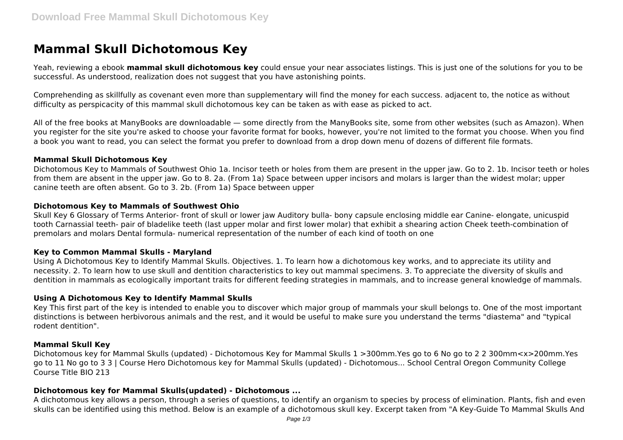# **Mammal Skull Dichotomous Key**

Yeah, reviewing a ebook **mammal skull dichotomous key** could ensue your near associates listings. This is just one of the solutions for you to be successful. As understood, realization does not suggest that you have astonishing points.

Comprehending as skillfully as covenant even more than supplementary will find the money for each success. adjacent to, the notice as without difficulty as perspicacity of this mammal skull dichotomous key can be taken as with ease as picked to act.

All of the free books at ManyBooks are downloadable — some directly from the ManyBooks site, some from other websites (such as Amazon). When you register for the site you're asked to choose your favorite format for books, however, you're not limited to the format you choose. When you find a book you want to read, you can select the format you prefer to download from a drop down menu of dozens of different file formats.

#### **Mammal Skull Dichotomous Key**

Dichotomous Key to Mammals of Southwest Ohio 1a. Incisor teeth or holes from them are present in the upper jaw. Go to 2. 1b. Incisor teeth or holes from them are absent in the upper jaw. Go to 8. 2a. (From 1a) Space between upper incisors and molars is larger than the widest molar; upper canine teeth are often absent. Go to 3. 2b. (From 1a) Space between upper

## **Dichotomous Key to Mammals of Southwest Ohio**

Skull Key 6 Glossary of Terms Anterior- front of skull or lower jaw Auditory bulla- bony capsule enclosing middle ear Canine- elongate, unicuspid tooth Carnassial teeth- pair of bladelike teeth (last upper molar and first lower molar) that exhibit a shearing action Cheek teeth-combination of premolars and molars Dental formula- numerical representation of the number of each kind of tooth on one

## **Key to Common Mammal Skulls - Maryland**

Using A Dichotomous Key to Identify Mammal Skulls. Objectives. 1. To learn how a dichotomous key works, and to appreciate its utility and necessity. 2. To learn how to use skull and dentition characteristics to key out mammal specimens. 3. To appreciate the diversity of skulls and dentition in mammals as ecologically important traits for different feeding strategies in mammals, and to increase general knowledge of mammals.

#### **Using A Dichotomous Key to Identify Mammal Skulls**

Key This first part of the key is intended to enable you to discover which major group of mammals your skull belongs to. One of the most important distinctions is between herbivorous animals and the rest, and it would be useful to make sure you understand the terms "diastema" and "typical rodent dentition".

#### **Mammal Skull Key**

Dichotomous key for Mammal Skulls (updated) - Dichotomous Key for Mammal Skulls 1 >300mm.Yes go to 6 No go to 2 2 300mm<x>200mm.Yes go to 11 No go to 3 3 | Course Hero Dichotomous key for Mammal Skulls (updated) - Dichotomous... School Central Oregon Community College Course Title BIO 213

## **Dichotomous key for Mammal Skulls(updated) - Dichotomous ...**

A dichotomous key allows a person, through a series of questions, to identify an organism to species by process of elimination. Plants, fish and even skulls can be identified using this method. Below is an example of a dichotomous skull key. Excerpt taken from "A Key-Guide To Mammal Skulls And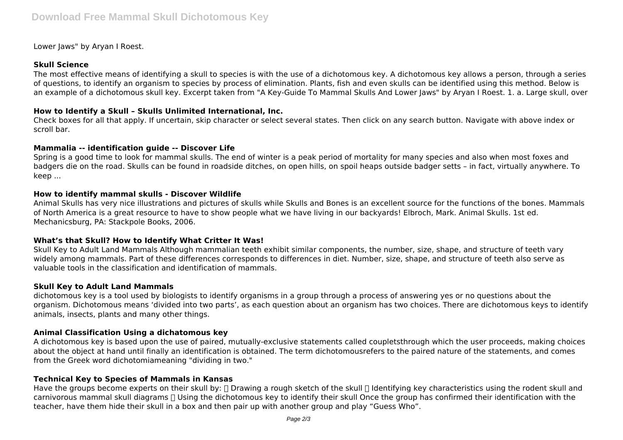Lower Jaws" by Aryan I Roest.

# **Skull Science**

The most effective means of identifying a skull to species is with the use of a dichotomous key. A dichotomous key allows a person, through a series of questions, to identify an organism to species by process of elimination. Plants, fish and even skulls can be identified using this method. Below is an example of a dichotomous skull key. Excerpt taken from "A Key-Guide To Mammal Skulls And Lower Jaws" by Aryan I Roest. 1. a. Large skull, over

# **How to Identify a Skull – Skulls Unlimited International, Inc.**

Check boxes for all that apply. If uncertain, skip character or select several states. Then click on any search button. Navigate with above index or scroll bar.

# **Mammalia -- identification guide -- Discover Life**

Spring is a good time to look for mammal skulls. The end of winter is a peak period of mortality for many species and also when most foxes and badgers die on the road. Skulls can be found in roadside ditches, on open hills, on spoil heaps outside badger setts – in fact, virtually anywhere. To keep ...

# **How to identify mammal skulls - Discover Wildlife**

Animal Skulls has very nice illustrations and pictures of skulls while Skulls and Bones is an excellent source for the functions of the bones. Mammals of North America is a great resource to have to show people what we have living in our backyards! Elbroch, Mark. Animal Skulls. 1st ed. Mechanicsburg, PA: Stackpole Books, 2006.

# **What's that Skull? How to Identify What Critter It Was!**

Skull Key to Adult Land Mammals Although mammalian teeth exhibit similar components, the number, size, shape, and structure of teeth vary widely among mammals. Part of these differences corresponds to differences in diet. Number, size, shape, and structure of teeth also serve as valuable tools in the classification and identification of mammals.

## **Skull Key to Adult Land Mammals**

dichotomous key is a tool used by biologists to identify organisms in a group through a process of answering yes or no questions about the organism. Dichotomous means 'divided into two parts', as each question about an organism has two choices. There are dichotomous keys to identify animals, insects, plants and many other things.

## **Animal Classification Using a dichatomous key**

A dichotomous key is based upon the use of paired, mutually-exclusive statements called coupletsthrough which the user proceeds, making choices about the object at hand until finally an identification is obtained. The term dichotomousrefers to the paired nature of the statements, and comes from the Greek word dichotomiameaning "dividing in two."

# **Technical Key to Species of Mammals in Kansas**

Have the groups become experts on their skull by:  $\Box$  Drawing a rough sketch of the skull  $\Box$  Identifying key characteristics using the rodent skull and carnivorous mammal skull diagrams Using the dichotomous key to identify their skull Once the group has confirmed their identification with the teacher, have them hide their skull in a box and then pair up with another group and play "Guess Who".